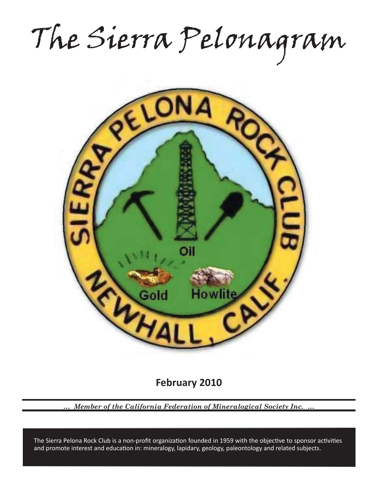The Sierra Pelonagram



**February 2010**

*… Member of the California Federation of Mineralogical Society Inc. …*

and promote interest and education in: mineralogy, lapidary, geology, paleontology and related subjects. The Sierra Pelona Rock Club is a non-profit organization founded in 1959 with the objective to sponsor activities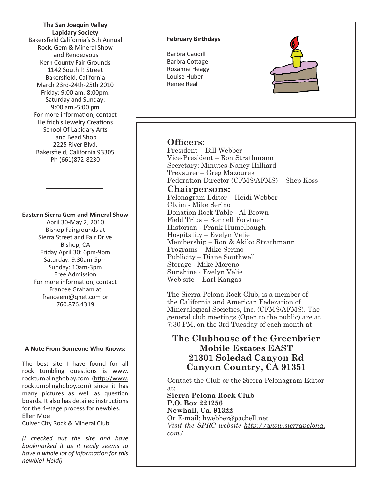**The San Joaquin Valley Lapidary Society** Bakersfield California's 5th Annual Rock, Gem & Mineral Show and Rendezvous Kern County Fair Grounds 1142 South P. Street Bakersfield, California March 23rd-24th-25th 2010 Friday: 9:00 am.-8:00pm. Saturday and Sunday: 9:00 am.-5:00 pm For more information, contact Helfrich's Jewelry Creations School Of Lapidary Arts and Bead Shop 2225 River Blvd. Bakersfield, California 93305 Ph (661)872-8230

## **Eastern Sierra Gem and Mineral Show**

April 30-May 2, 2010 Bishop Fairgrounds at Sierra Street and Fair Drive Bishop, CA Friday April 30: 6pm-9pm Saturday: 9:30am-5pm Sunday: 10am-3pm Free Admission For more information, contact Francee Graham at franceem@qnet.com or 760.876.4319

#### **A Note From Someone Who Knows:**

The best site I have found for all rock tumbling questions is www. rocktumblinghobby.com (http://www. rocktumblinghobby.com) since it has many pictures as well as question boards. It also has detailed instructions for the 4-stage process for newbies. Ellen Moe Culver City Rock & Mineral Club

*(I checked out the site and have bookmarked it as it really seems to have a whole lot of informati on for this newbie!-Heidi)*

#### **February Birthdays**

Barbra Caudill Barbra Cottage Roxanne Heagy Louise Huber Renee Real



# **Officers:**

President – Bill Webber Vice-President – Ron Strathmann Secretary: Minutes-Nancy Hilliard Treasurer – Greg Mazourek Federation Director (CFMS/AFMS) – Shep Koss

# **Chairpersons:**

Pelonagram Editor – Heidi Webber Claim - Mike Serino Donation Rock Table - Al Brown Field Trips – Bonnell Forstner Historian - Frank Humelbaugh Hospitality – Evelyn Velie Membership – Ron & Akiko Strathmann Programs – Mike Serino Publicity – Diane Southwell Storage - Mike Moreno Sunshine - Evelyn Velie Web site – Earl Kangas

The Sierra Pelona Rock Club, is a member of the California and American Federation of Mineralogical Societies, Inc. (CFMS/AFMS). The general club meetings (Open to the public) are at 7:30 PM, on the 3rd Tuesday of each month at:

# **The Clubhouse of the Greenbrier Mobile Estates EAST 21301 Soledad Canyon Rd Canyon Country, CA 91351**

Contact the Club or the Sierra Pelonagram Editor at:

**Sierra Pelona Rock Club P.O. Box 221256 Newhall, Ca. 91322** Or E-mail: hwebber@pacbell.net *Visit the SPRC website http://www.sierrapelona. com/*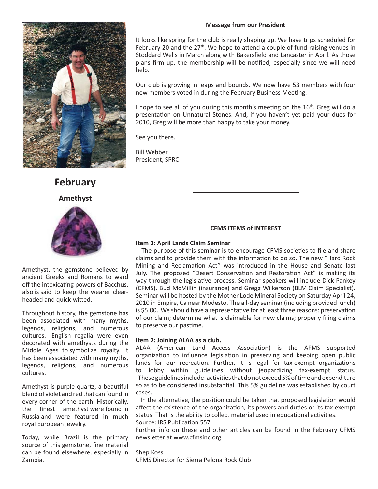## **Message from our President**



# **February**

**Amethyst**



Amethyst, the gemstone believed by ancient Greeks and Romans to ward off the intoxicating powers of Bacchus, also is said to keep the wearer clearheaded and quick-witted.

Throughout history, the gemstone has been associated with many myths, legends, religions, and numerous cultures. English regalia were even decorated with amethysts during the Middle Ages to symbolize royalty. It has been associated with many myths, legends, religions, and numerous cultures.

Amethyst is purple quartz, a beautiful blend of violet and red that can found in every corner of the earth. Historically, the finest amethyst were found in Russia and were featured in much royal European jewelry.

Today, while Brazil is the primary source of this gemstone, fine material can be found elsewhere, especially in Zambia.

It looks like spring for the club is really shaping up. We have trips scheduled for February 20 and the  $27<sup>th</sup>$ . We hope to attend a couple of fund-raising venues in Stoddard Wells in March along with Bakersfield and Lancaster in April. As those plans firm up, the membership will be notified, especially since we will need help.

Our club is growing in leaps and bounds. We now have 53 members with four new members voted in during the February Business Meeting.

I hope to see all of you during this month's meeting on the  $16<sup>th</sup>$ . Greg will do a presentation on Unnatural Stones. And, if you haven't yet paid your dues for 2010, Greg will be more than happy to take your money.

See you there.

Bill Webber President, SPRC

## **CFMS ITEMS of INTEREST**

## **Item 1: April Lands Claim Seminar**

The purpose of this seminar is to encourage CFMS societies to file and share claims and to provide them with the information to do so. The new "Hard Rock Mining and Reclamation Act" was introduced in the House and Senate last July. The proposed "Desert Conservation and Restoration Act" is making its way through the legislative process. Seminar speakers will include Dick Pankey (CFMS), Bud McMillin (insurance) and Gregg Wilkerson (BLM Claim Specialist). Seminar will be hosted by the Mother Lode Mineral Society on Saturday April 24, 2010 in Empire, Ca near Modesto. The all-day seminar (including provided lunch) is \$5.00. We should have a representative for at least three reasons: preservation of our claim; determine what is claimable for new claims; properly filing claims to preserve our pastime.

## **Item 2: Joining ALAA as a club.**

ALAA (American Land Access Association) is the AFMS supported organization to influence legislation in preserving and keeping open public lands for our recreation. Further, it is legal for tax-exempt organizations to lobby within guidelines without jeopardizing tax-exempt status. These guidelines include: activities that do not exceed 5% of time and expenditure so as to be considered insubstantial. This 5% guideline was established by court cases.

In the alternative, the position could be taken that proposed legislation would affect the existence of the organization, its powers and duties or its tax-exempt status. That is the ability to collect material used in educational activities. Source: IRS Publication 557

Further info on these and other articles can be found in the February CFMS newsletter at www.cfmsinc.org

Shep Koss CFMS Director for Sierra Pelona Rock Club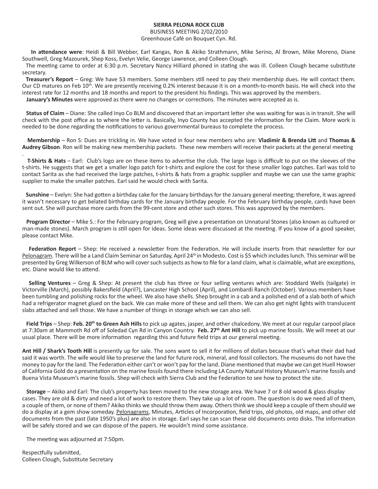## **SIERRA PELONA ROCK CLUB**

#### BUSINESS MEETING 2/02/2010 Greenhouse Café on Bouquet Cyn. Rd.

 **In att endance were**: Heidi & Bill Webber, Earl Kangas, Ron & Akiko Strathmann, Mike Serino, Al Brown, Mike Moreno, Diane Southwell, Greg Mazourek, Shep Koss, Evelyn Velie, George Lawrence, and Colleen Clough.

The meeting came to order at 6:30 p.m. Secretary Nancy Hilliard phoned in stating she was ill. Colleen Clough became substitute secretary.

**Treasurer's Report** – Greg: We have 53 members. Some members still need to pay their membership dues. He will contact them. Our CD matures on Feb 10<sup>th</sup>. We are presently receiving 0.2% interest because it is on a month-to-month basis. He will check into the interest rate for 12 months and 18 months and report to the president his findings. This was approved by the members. January's Minutes were approved as there were no changes or corrections. The minutes were accepted as is.

Status of Claim – Diane: She called Inyo Co BLM and discovered that an important letter she was waiting for was is in transit. She will check with the post office as to where the letter is. Basically, Inyo County has accepted the information for the Claim. More work is needed to be done regarding the notifications to various governmental bureaus to complete the process.

 **Membership** – Ron S: Dues are trickling in. We have voted in four new members who are: **Vladimir & Brenda Litt** and **Thomas & Audrey Gibson**. Ron will be making new membership packets. These new members will receive their packets at the general meeting

. **T-Shirts & Hats** – Earl: Club's logo are on these items to advertise the club. The large logo is difficult to put on the sleeves of the t-shirts. He suggests that we get a smaller logo patch for t-shirts and explore the cost for these smaller logo patches. Earl was told to contact Sarita as she had received the large patches, t-shirts & hats from a graphic supplier and maybe we can use the same graphic supplier to make the smaller patches. Earl said he would check with Sarita.

**Sunshine** – Evelyn: She had gotten a birthday cake for the January birthdays for the January general meeting; therefore, it was agreed it wasn't necessary to get belated birthday cards for the January birthday people. For the February birthday people, cards have been sent out. She will purchase more cards from the 99-cent store and other such stores. This was approved by the members.

**Program Director** – Mike S.: For the February program, Greg will give a presentation on Unnatural Stones (also known as cultured or man-made stones). March program is still open for ideas. Some ideas were discussed at the meeting. If you know of a good speaker, please contact Mike.

Federation Report – Shep: He received a newsletter from the Federation. He will include inserts from that newsletter for our Pelonagram. There will be a Land Claim Seminar on Saturday, April 24<sup>th</sup> in Modesto. Cost is \$5 which includes lunch. This seminar will be presented by Greg Wilkerson of BLM who will cover such subjects as how to file for a land claim, what is claimable, what are exceptions, etc. Diane would like to attend.

 **Selling Ventures** – Greg & Shep: At present the club has three or four selling ventures which are: Stoddard Wells (tailgate) in Victorville (March), possibly Bakersfield (April?), Lancaster High School (April), and Lombardi Ranch (October). Various members have been tumbling and polishing rocks for the wheel. We also have shells. Shep brought in a cab and a polished end of a slab both of which had a refrigerator magnet glued on the back. We can make more of these and sell them. We can also get night lights with translucent slabs attached and sell those. We have a number of things in storage which we can also sell.

Field Trips – Shep: Feb. 20<sup>th</sup> to Green Ash Hills to pick up agates, jasper, and other chalcedony. We meet at our regular carpool place at 7:30am at Mammoth Rd off of Soledad Cyn Rd in Canyon Country. **Feb. 27th Ant Hill** to pick up marine fossils. We will meet at our usual place. There will be more information regarding this and future field trips at our general meeting.

**Ant Hill / Shark's Tooth Hill** is presently up for sale. The sons want to sell it for millions of dollars because that's what their dad had said it was worth. The wife would like to preserve the land for future rock, mineral, and fossil collectors. The museums do not have the money to pay for the land. The Federation either can't or won't pay for the land. Diane mentioned that maybe we can get Huell Howser of California Gold do a presentation on the marine fossils found there including LA County Natural History Museum's marine fossils and Buena Vista Museum's marine fossils. Shep will check with Sierra Club and the Federation to see how to protect the site.

 **Storage** – Akiko and Earl: The club's property has been moved to the new storage area. We have 7 or 8 old wood & glass display cases. They are old & dirty and need a lot of work to restore them. They take up a lot of room. The question is do we need all of them, a couple of them, or none of them? Akiko thinks we should throw them away. Others think we should keep a couple of them should we do a display at a gem show someday. Pelonagrams, Minutes, Articles of Incorporation, field trips, old photos, old maps, and other old documents from the past (late 1950's plus) are also in storage. Earl says he can scan these old documents onto disks. The information will be safely stored and we can dispose of the papers. He wouldn't mind some assistance.

The meeting was adjourned at 7:50pm.

Respectfully submitted, Colleen Clough, Substitute Secretary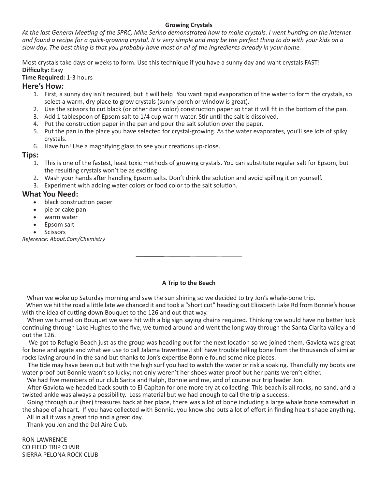## **Growing Crystals**

*At the last General Meeti ng of the SPRC, Mike Serino demonstrated how to make crystals. I went hunti ng on the internet and found a recipe for a quick-growing crystal. It is very simple and may be the perfect thing to do with your kids on a slow day. The best thing is that you probably have most or all of the ingredients already in your home.*

Most crystals take days or weeks to form. Use this technique if you have a sunny day and want crystals FAST! **Diffi culty:** Easy

**Time Required:** 1-3 hours

# **Here's How:**

- 1. First, a sunny day isn't required, but it will help! You want rapid evaporation of the water to form the crystals, so select a warm, dry place to grow crystals (sunny porch or window is great).
- 2. Use the scissors to cut black (or other dark color) construction paper so that it will fit in the bottom of the pan.
- 3. Add 1 tablespoon of Epsom salt to 1/4 cup warm water. Stir until the salt is dissolved.
- 4. Put the construction paper in the pan and pour the salt solution over the paper.
- 5. Put the pan in the place you have selected for crystal-growing. As the water evaporates, you'll see lots of spiky crystals.
- 6. Have fun! Use a magnifying glass to see your creations up-close.

**Tips:**

- 1. This is one of the fastest, least toxic methods of growing crystals. You can substitute regular salt for Epsom, but the resulting crystals won't be as exciting.
- 2. Wash your hands after handling Epsom salts. Don't drink the solution and avoid spilling it on yourself.
- 3. Experiment with adding water colors or food color to the salt solution.

# **What You Need:**

- black construction paper
- pie or cake pan
- warm water
- Epsom salt
- **Scissors**

*Reference: About.Com/Chemistry*

## **A Trip to the Beach**

When we woke up Saturday morning and saw the sun shining so we decided to try Jon's whale-bone trip.

When we hit the road a little late we chanced it and took a "short cut" heading out Elizabeth Lake Rd from Bonnie's house with the idea of cutting down Bouquet to the 126 and out that way.

When we turned on Bouquet we were hit with a big sign saying chains required. Thinking we would have no better luck continuing through Lake Hughes to the five, we turned around and went the long way through the Santa Clarita valley and out the 126.

We got to Refugio Beach just as the group was heading out for the next location so we joined them. Gaviota was great for bone and agate and what we use to call Jalama travertine. I still have trouble telling bone from the thousands of similar rocks laying around in the sand but thanks to Jon's expertise Bonnie found some nice pieces.

The tide may have been out but with the high surf you had to watch the water or risk a soaking. Thankfully my boots are water proof but Bonnie wasn't so lucky; not only weren't her shoes water proof but her pants weren't either.

We had five members of our club Sarita and Ralph, Bonnie and me, and of course our trip leader Jon.

After Gaviota we headed back south to El Capitan for one more try at collecting. This beach is all rocks, no sand, and a twisted ankle was always a possibility. Less material but we had enough to call the trip a success.

 Going through our (her) treasures back at her place, there was a lot of bone including a large whale bone somewhat in the shape of a heart. If you have collected with Bonnie, you know she puts a lot of effort in finding heart-shape anything. All in all it was a great trip and a great day.

Thank you Jon and the Del Aire Club.

RON LAWRENCE CO FIELD TRIP CHAIR SIERRA PELONA ROCK CLUB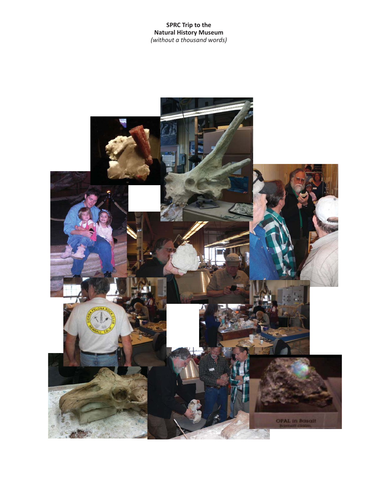**SPRC Trip to the Natural History Museum** *(without a thousand words)*

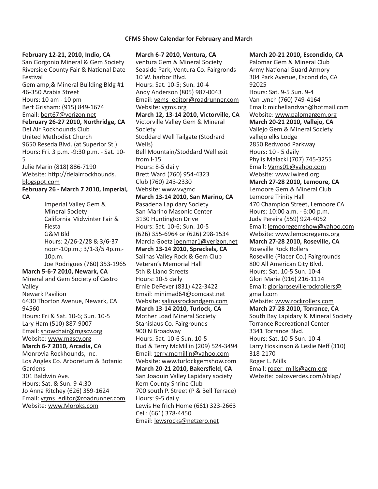#### **CFMS Show Calendar for February and March**

**February 12-21, 2010, Indio, CA** San Gorgonio Mineral & Gem Society Riverside County Fair & National Date Festival Gem amp;& Mineral Building Bldg #1 46-350 Arabia Street Hours: 10 am - 10 pm Bert Grisham: (915) 849-1674 Email: bert67@verizon.net **February 26-27 2010, Northridge, CA** Del Air Rockhounds Club United Methodist Church 9650 Reseda Blvd. (at Superior St.) Hours: Fri. 3 p.m. -9:30 p.m. - Sat. 10- 5 Julie Marin (818) 886-7190 Website: http://delairrockhounds. blogspot.com **February 26 - March 7 2010, Imperial, CA** Imperial Valley Gem & Mineral Society California Midwinter Fair & Fiesta G&M Bld Hours: 2/26-2/28 & 3/6-37 noon-10p.m.; 3/1-3/5 4p.m.- 10p.m. Joe Rodrigues (760) 353-1965 **March 5-6-7 2010, Newark, CA** Mineral and Gem Society of Castro Valley Newark Pavilion 6430 Thorton Avenue, Newark, CA 94560 Hours: Fri & Sat. 10-6; Sun. 10-5 Lary Ham (510) 887-9007 Email: showchair@mgscv.org Website: www.mgscv.org **March 6-7 2010, Arcadia, CA** Monrovia Rockhounds, Inc. Los Angles Co. Arboretum & Botanic Gardens 301 Baldwin Ave. Hours: Sat. & Sun. 9-4:30 Jo Anna Ritchey (626) 359-1624 Email: vgms\_editor@roadrunner.com Website: www.Moroks.com

**March 6-7 2010, Ventura, CA** ventura Gem & Mineral Society Seaside Park, Ventura Co. Fairgronds 10 W. harbor Blvd. Hours: Sat. 10-5; Sun. 10-4 Andy Anderson (805) 987-0043 Email: vgms\_editor@roadrunner.com Website: vgms.org **March 12, 13-14 2010, Victorville, CA** Victorville Valley Gem & Mineral Society Stoddard Well Tailgate (Stodrard Wells) Bell Mountain/Stoddard Well exit from I-15 Hours: 8-5 daily Brett Ward (760) 954-4323 Club (760) 243-2330 Website: www.vvgmc **March 13-14 2010, San Marino, CA** Pasadena Lapidary Society San Marino Masonic Center 3130 Huntington Drive Hours: Sat. 10-6; Sun. 10-5 (626) 355-6964 or (626) 298-1534 Marcia Goetz joenmar1@verizon.net **March 13-14 2010, Spreckels, CA** Salinas Valley Rock & Gem Club Veteran's Memorial Hall 5th & Liano Streets Hours: 10-5 daily Ernie DeFever (831) 422-3422 Email: minimad64@comcast.net Website: salinasrockandgem.com **March 13-14 2010, Turlock, CA** Mother Load Mineral Society Stanislaus Co. Fairgrounds 900 N Broadway Hours: Sat. 10-6 Sun. 10-5 Bud & Terry McMillin (209) 524-3494 Email: terry.mcmillin@yahoo.com Website: www.turlockgemshow.com **March 20-21 2010, Bakersfield, CA** San Joaquin Valley Lapidary society Kern County Shrine Club 700 south P. Street (P & Bell Terrace) Hours: 9-5 daily Lewis Helfrich Home (661) 323-2663 Cell: (661) 378-4450 Email: lewsrocks@netzero.net

**March 20-21 2010, Escondido, CA** Palomar Gem & Mineral Club Army National Guard Armory 304 Park Avenue, Escondido, CA 92025 Hours: Sat. 9-5 Sun. 9-4 Van Lynch (760) 749-4164 Email: michellandvan@hotmail.com Website: www.palomargem.org **March 20-21 2010, Vallejo, CA** Vallejo Gem & Mineral Society vallejo elks Lodge 2850 Redwood Parkway Hours: 10 - 5 daily Phylis Malacki (707) 745-3255 Email: Vgms01@yahoo.com Website: www.iwired.org **March 27-28 2010, Lemoore, CA** Lemoore Gem & Mineral Club Lemoore Trinity Hall 470 Champion Street, Lemoore CA Hours: 10:00 a.m. - 6:00 p.m. Judy Pereira (559) 924-4052 Email: lemooregemshow@yahoo.com Website: www.lemooregems.org **March 27-28 2010, Roseville, CA** Roseville Rock Rollers Roseville (Placer Co.) Fairgrounds 800 All American City Blvd. Hours: Sat. 10-5 Sun. 10-4 Glori Marie (916) 216-1114 Email: gloriarosevillerockrollers@ gmail.com Website: www.rockrollers.com **March 27-28 2010, Torrance, CA** South Bay Lapidary & Mineral Society Torrance Recreational Center 3341 Torrance Blvd. Hours: Sat. 10-5 Sun. 10-4 Larry Hoskinson & Leslie Neff (310) 318-2170 Roger L. Mills Email: roger\_mills@acm.org Website: palosverdes.com/sblap/